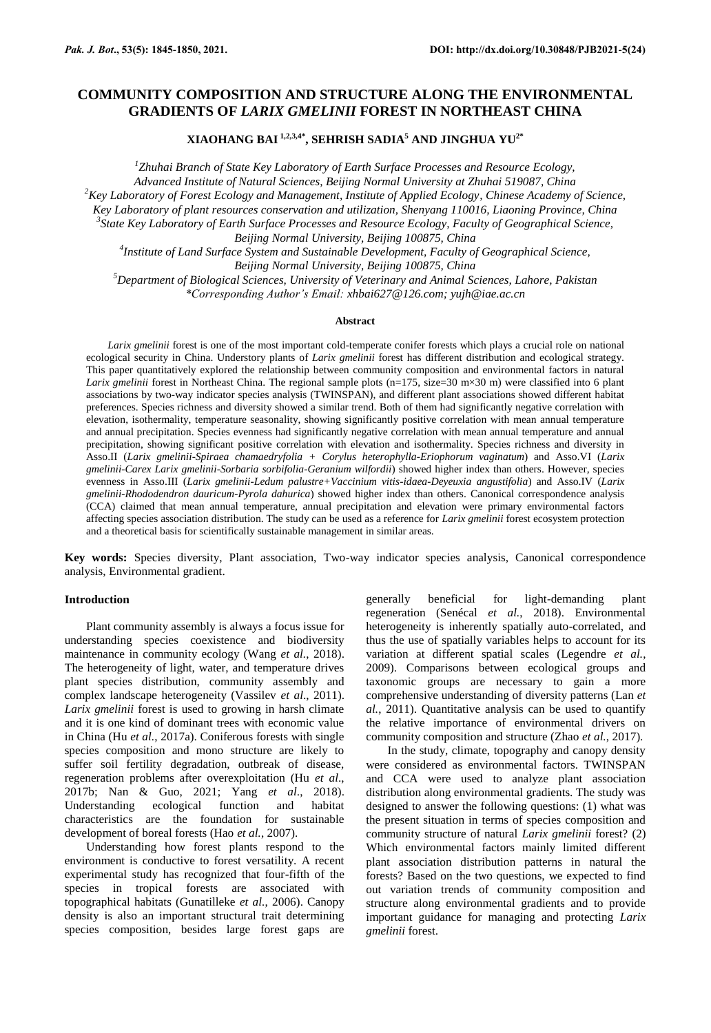**XIAOHANG BAI 1,2,3,4\*, SEHRISH SADIA<sup>5</sup> AND JINGHUA YU2\***

*1 Zhuhai Branch of State Key Laboratory of Earth Surface Processes and Resource Ecology, Advanced Institute of Natural Sciences, Beijing Normal University at Zhuhai 519087, China <sup>2</sup>Key Laboratory of Forest Ecology and Management, Institute of Applied Ecology, Chinese Academy of Science, Key Laboratory of plant resources conservation and utilization, Shenyang 110016, Liaoning Province, China 3 State Key Laboratory of Earth Surface Processes and Resource Ecology, Faculty of Geographical Science, Beijing Normal University, Beijing 100875, China 4 Institute of Land Surface System and Sustainable Development, Faculty of Geographical Science, Beijing Normal University, Beijing 100875, China <sup>5</sup>Department of Biological Sciences, University of Veterinary and Animal Sciences, Lahore, Pakistan*

*\*Corresponding Author's Email: xhbai627@126.com; yujh@iae.ac.cn*

### **Abstract**

*Larix gmelinii* forest is one of the most important cold-temperate conifer forests which plays a crucial role on national ecological security in China. Understory plants of *Larix gmelinii* forest has different distribution and ecological strategy. This paper quantitatively explored the relationship between community composition and environmental factors in natural *Larix gmelinii* forest in Northeast China. The regional sample plots (n=175, size=30 m×30 m) were classified into 6 plant associations by two-way indicator species analysis (TWINSPAN), and different plant associations showed different habitat preferences. Species richness and diversity showed a similar trend. Both of them had significantly negative correlation with elevation, isothermality, temperature seasonality, showing significantly positive correlation with mean annual temperature and annual precipitation. Species evenness had significantly negative correlation with mean annual temperature and annual precipitation, showing significant positive correlation with elevation and isothermality. Species richness and diversity in Asso.II (*Larix gmelinii-Spiraea chamaedryfolia + Corylus heterophylla-Eriophorum vaginatum*) and Asso.VI (*Larix gmelinii-Carex Larix gmelinii-Sorbaria sorbifolia-Geranium wilfordii*) showed higher index than others. However, species evenness in Asso.III (*Larix gmelinii-Ledum palustre+Vaccinium vitis-idaea-Deyeuxia angustifolia*) and Asso.IV (*Larix gmelinii-Rhododendron dauricum-Pyrola dahurica*) showed higher index than others. Canonical correspondence analysis (CCA) claimed that mean annual temperature, annual precipitation and elevation were primary environmental factors affecting species association distribution. The study can be used as a reference for *Larix gmelinii* forest ecosystem protection and a theoretical basis for scientifically sustainable management in similar areas.

**Key words:** Species diversity, Plant association, Two-way indicator species analysis, Canonical correspondence analysis, Environmental gradient.

# **Introduction**

Plant community assembly is always a focus issue for understanding species coexistence and biodiversity maintenance in community ecology (Wang *et al.*, 2018). The heterogeneity of light, water, and temperature drives plant species distribution, community assembly and complex landscape heterogeneity (Vassilev *et al*., 2011). *Larix gmelinii* forest is used to growing in harsh climate and it is one kind of dominant trees with economic value in China (Hu *et al.*, 2017a). Coniferous forests with single species composition and mono structure are likely to suffer soil fertility degradation, outbreak of disease, regeneration problems after overexploitation (Hu *et al*., 2017b; Nan & Guo, 2021; Yang *et al*., 2018). Understanding ecological function and habitat characteristics are the foundation for sustainable development of boreal forests (Hao *et al.*, 2007).

Understanding how forest plants respond to the environment is conductive to forest versatility. A recent experimental study has recognized that four-fifth of the species in tropical forests are associated with topographical habitats (Gunatilleke *et al.*, 2006). Canopy density is also an important structural trait determining species composition, besides large forest gaps are

generally beneficial for light-demanding plant regeneration (Senécal *et al.*, 2018). Environmental heterogeneity is inherently spatially auto-correlated, and thus the use of spatially variables helps to account for its variation at different spatial scales (Legendre *et al.*, 2009). Comparisons between ecological groups and taxonomic groups are necessary to gain a more comprehensive understanding of diversity patterns (Lan *et al.*, 2011). Quantitative analysis can be used to quantify the relative importance of environmental drivers on community composition and structure (Zhao *et al.*, 2017).

In the study, climate, topography and canopy density were considered as environmental factors. TWINSPAN and CCA were used to analyze plant association distribution along environmental gradients. The study was designed to answer the following questions: (1) what was the present situation in terms of species composition and community structure of natural *Larix gmelinii* forest? (2) Which environmental factors mainly limited different plant association distribution patterns in natural the forests? Based on the two questions, we expected to find out variation trends of community composition and structure along environmental gradients and to provide important guidance for managing and protecting *Larix gmelinii* forest.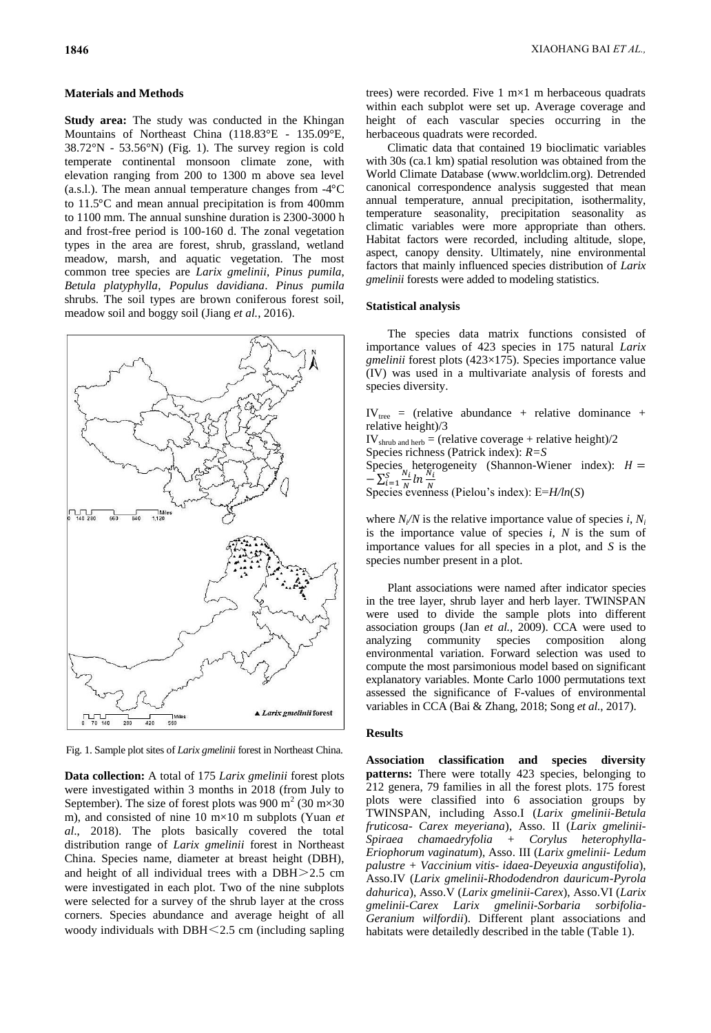# **Materials and Methods**

**Study area:** The study was conducted in the Khingan Mountains of Northeast China (118.83°E - 135.09°E, 38.72°N - 53.56°N) (Fig. 1). The survey region is cold temperate continental monsoon climate zone, with elevation ranging from 200 to 1300 m above sea level (a.s.l.). The mean annual temperature changes from  $-4^{\circ}C$ to  $11.5^{\circ}$ C and mean annual precipitation is from 400mm to 1100 mm. The annual sunshine duration is 2300-3000 h and frost-free period is 100-160 d. The zonal vegetation types in the area are forest, shrub, grassland, wetland meadow, marsh, and aquatic vegetation. The most common tree species are *Larix gmelinii*, *Pinus pumila*, *Betula platyphylla*, *Populus davidiana*. *Pinus pumila*  shrubs. The soil types are brown coniferous forest soil, meadow soil and boggy soil (Jiang *et al.*, 2016).



Fig. 1. Sample plot sites of *Larix gmelinii* forest in Northeast China.

**Data collection:** A total of 175 *Larix gmelinii* forest plots were investigated within 3 months in 2018 (from July to September). The size of forest plots was 900 m<sup>2</sup> (30 m×30) m), and consisted of nine 10 m×10 m subplots (Yuan *et al*., 2018). The plots basically covered the total distribution range of *Larix gmelinii* forest in Northeast China. Species name, diameter at breast height (DBH), and height of all individual trees with a DBH>2.5 cm were investigated in each plot. Two of the nine subplots were selected for a survey of the shrub layer at the cross corners. Species abundance and average height of all woody individuals with  $DBH \leq 2.5$  cm (including sapling

trees) were recorded. Five  $1 \text{ m} \times 1 \text{ m}$  herbaceous quadrats within each subplot were set up. Average coverage and height of each vascular species occurring in the herbaceous quadrats were recorded.

Climatic data that contained 19 bioclimatic variables with 30s (ca.1 km) spatial resolution was obtained from the World Climate Database (www.worldclim.org). Detrended canonical correspondence analysis suggested that mean annual temperature, annual precipitation, isothermality, temperature seasonality, precipitation seasonality as climatic variables were more appropriate than others. Habitat factors were recorded, including altitude, slope, aspect, canopy density. Ultimately, nine environmental factors that mainly influenced species distribution of *Larix gmelinii* forests were added to modeling statistics.

### **Statistical analysis**

The species data matrix functions consisted of importance values of 423 species in 175 natural *Larix gmelinii* forest plots (423×175). Species importance value (IV) was used in a multivariate analysis of forests and species diversity.

 $IV_{tree}$  = (relative abundance + relative dominance + relative height)/3  $IV<sub>shrub</sub>$  and herb = (relative coverage + relative height)/2 Species richness (Patrick index): *R=S* Species heterogeneity (Shannon-Wiener index):  $-\sum_{i=1}^{S} \frac{N}{i}$  $\frac{N}{N}$ ln  $\frac{N}{N}$  $\frac{S}{i=1} \frac{N_i}{N} \ln \frac{N_i}{N}$ Species evenness (Pielou's index): E=*H*/ln(*S*)

where  $N_i/N$  is the relative importance value of species *i*,  $N_i$ is the importance value of species *i*, *N* is the sum of importance values for all species in a plot, and *S* is the species number present in a plot.

Plant associations were named after indicator species in the tree layer, shrub layer and herb layer. TWINSPAN were used to divide the sample plots into different association groups (Jan *et al.*, 2009). CCA were used to analyzing community species composition along environmental variation. Forward selection was used to compute the most parsimonious model based on significant explanatory variables. Monte Carlo 1000 permutations text assessed the significance of F-values of environmental variables in CCA (Bai & Zhang, 2018; Song *et al.*, 2017).

### **Results**

**Association classification and species diversity patterns:** There were totally 423 species, belonging to 212 genera, 79 families in all the forest plots. 175 forest plots were classified into 6 association groups by TWINSPAN, including Asso.I (*Larix gmelinii-Betula fruticosa- Carex meyeriana*), Asso. II (*Larix gmelinii-Spiraea chamaedryfolia + Corylus heterophylla-Eriophorum vaginatum*), Asso. III (*Larix gmelinii- Ledum palustre + Vaccinium vitis- idaea-Deyeuxia angustifolia*), Asso.IV (*Larix gmelinii-Rhododendron dauricum-Pyrola dahurica*), Asso.V (*Larix gmelinii-Carex*), Asso.VI (*Larix gmelinii-Carex Larix gmelinii-Sorbaria sorbifolia-Geranium wilfordii*). Different plant associations and habitats were detailedly described in the table (Table 1).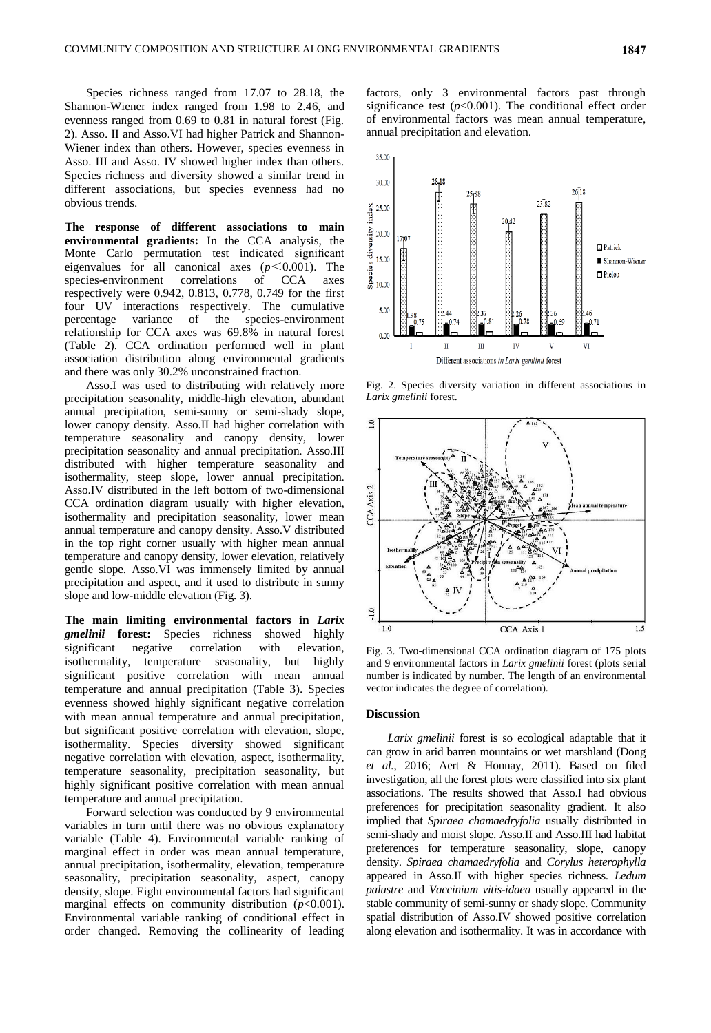Species richness ranged from 17.07 to 28.18, the Shannon-Wiener index ranged from 1.98 to 2.46, and evenness ranged from 0.69 to 0.81 in natural forest (Fig. 2). Asso. II and Asso.VI had higher Patrick and Shannon-Wiener index than others. However, species evenness in Asso. III and Asso. IV showed higher index than others. Species richness and diversity showed a similar trend in different associations, but species evenness had no obvious trends.

**The response of different associations to main environmental gradients:** In the CCA analysis, the Monte Carlo permutation test indicated significant eigenvalues for all canonical axes  $(p<0.001)$ . The species-environment correlations of CCA axes respectively were 0.942, 0.813, 0.778, 0.749 for the first four UV interactions respectively. The cumulative percentage variance of the species-environment relationship for CCA axes was 69.8% in natural forest (Table 2). CCA ordination performed well in plant association distribution along environmental gradients and there was only 30.2% unconstrained fraction.

Asso.I was used to distributing with relatively more precipitation seasonality, middle-high elevation, abundant annual precipitation, semi-sunny or semi-shady slope, lower canopy density. Asso.II had higher correlation with temperature seasonality and canopy density, lower precipitation seasonality and annual precipitation. Asso.III distributed with higher temperature seasonality and isothermality, steep slope, lower annual precipitation. Asso.IV distributed in the left bottom of two-dimensional CCA ordination diagram usually with higher elevation, isothermality and precipitation seasonality, lower mean annual temperature and canopy density. Asso.V distributed in the top right corner usually with higher mean annual temperature and canopy density, lower elevation, relatively gentle slope. Asso.VI was immensely limited by annual precipitation and aspect, and it used to distribute in sunny slope and low-middle elevation (Fig. 3).

**The main limiting environmental factors in** *Larix gmelinii* **forest:** Species richness showed highly significant negative correlation with elevation, isothermality, temperature seasonality, but highly significant positive correlation with mean annual temperature and annual precipitation (Table 3). Species evenness showed highly significant negative correlation with mean annual temperature and annual precipitation, but significant positive correlation with elevation, slope, isothermality. Species diversity showed significant negative correlation with elevation, aspect, isothermality, temperature seasonality, precipitation seasonality, but highly significant positive correlation with mean annual temperature and annual precipitation.

Forward selection was conducted by 9 environmental variables in turn until there was no obvious explanatory variable (Table 4). Environmental variable ranking of marginal effect in order was mean annual temperature, annual precipitation, isothermality, elevation, temperature seasonality, precipitation seasonality, aspect, canopy density, slope. Eight environmental factors had significant marginal effects on community distribution  $(p<0.001)$ . Environmental variable ranking of conditional effect in order changed. Removing the collinearity of leading

factors, only 3 environmental factors past through significance test  $(p<0.001)$ . The conditional effect order of environmental factors was mean annual temperature, annual precipitation and elevation.



Fig. 2. Species diversity variation in different associations in *Larix gmelinii* forest.



Fig. 3. Two-dimensional CCA ordination diagram of 175 plots and 9 environmental factors in *Larix gmelinii* forest (plots serial number is indicated by number. The length of an environmental vector indicates the degree of correlation).

### **Discussion**

*Larix gmelinii* forest is so ecological adaptable that it can grow in arid barren mountains or wet marshland (Dong *et al.*, 2016; Aert & Honnay, 2011). Based on filed investigation, all the forest plots were classified into six plant associations. The results showed that Asso.I had obvious preferences for precipitation seasonality gradient. It also implied that *Spiraea chamaedryfolia* usually distributed in semi-shady and moist slope. Asso.II and Asso.III had habitat preferences for temperature seasonality, slope, canopy density. *Spiraea chamaedryfolia* and *Corylus heterophylla* appeared in Asso.II with higher species richness. *Ledum palustre* and *Vaccinium vitis-idaea* usually appeared in the stable community of semi-sunny or shady slope. Community spatial distribution of Asso.IV showed positive correlation along elevation and isothermality. It was in accordance with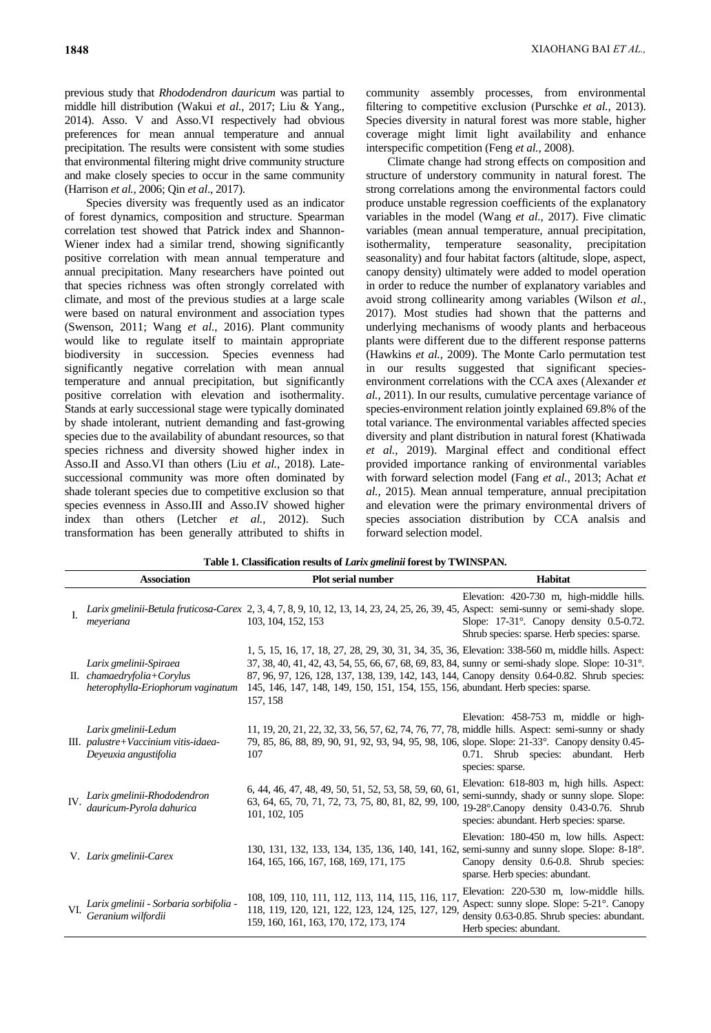previous study that *Rhododendron dauricum* was partial to middle hill distribution (Wakui *et al.*, 2017; Liu & Yang., 2014). Asso. V and Asso.VI respectively had obvious preferences for mean annual temperature and annual precipitation. The results were consistent with some studies that environmental filtering might drive community structure and make closely species to occur in the same community (Harrison *et al.*, 2006; Qin *et al*., 2017).

Species diversity was frequently used as an indicator of forest dynamics, composition and structure. Spearman correlation test showed that Patrick index and Shannon-Wiener index had a similar trend, showing significantly positive correlation with mean annual temperature and annual precipitation. Many researchers have pointed out that species richness was often strongly correlated with climate, and most of the previous studies at a large scale were based on natural environment and association types (Swenson, 2011; Wang *et al.*, 2016). Plant community would like to regulate itself to maintain appropriate biodiversity in succession. Species evenness had significantly negative correlation with mean annual temperature and annual precipitation, but significantly positive correlation with elevation and isothermality. Stands at early successional stage were typically dominated by shade intolerant, nutrient demanding and fast-growing species due to the availability of abundant resources, so that species richness and diversity showed higher index in Asso.II and Asso.VI than others (Liu *et al.*, 2018). Latesuccessional community was more often dominated by shade tolerant species due to competitive exclusion so that species evenness in Asso.III and Asso.IV showed higher index than others (Letcher *et al.*, 2012). Such transformation has been generally attributed to shifts in

community assembly processes, from environmental filtering to competitive exclusion (Purschke *et al.*, 2013). Species diversity in natural forest was more stable, higher coverage might limit light availability and enhance interspecific competition (Feng *et al.*, 2008).

Climate change had strong effects on composition and structure of understory community in natural forest. The strong correlations among the environmental factors could produce unstable regression coefficients of the explanatory variables in the model (Wang *et al.*, 2017). Five climatic variables (mean annual temperature, annual precipitation, isothermality, temperature seasonality, precipitation seasonality) and four habitat factors (altitude, slope, aspect, canopy density) ultimately were added to model operation in order to reduce the number of explanatory variables and avoid strong collinearity among variables (Wilson *et al.*, 2017). Most studies had shown that the patterns and underlying mechanisms of woody plants and herbaceous plants were different due to the different response patterns (Hawkins *et al.*, 2009). The Monte Carlo permutation test in our results suggested that significant speciesenvironment correlations with the CCA axes (Alexander *et al.*, 2011). In our results, cumulative percentage variance of species-environment relation jointly explained 69.8% of the total variance. The environmental variables affected species diversity and plant distribution in natural forest (Khatiwada *et al.*, 2019). Marginal effect and conditional effect provided importance ranking of environmental variables with forward selection model (Fang *et al.*, 2013; Achat *et al.*, 2015). Mean annual temperature, annual precipitation and elevation were the primary environmental drivers of species association distribution by CCA analsis and forward selection model.

|     | <b>Association</b>                                                                        | <b>Plot serial number</b>                                                                                                                                                                                                                                                                                                                                                                               | Habitat                                                                                                                                                                       |
|-----|-------------------------------------------------------------------------------------------|---------------------------------------------------------------------------------------------------------------------------------------------------------------------------------------------------------------------------------------------------------------------------------------------------------------------------------------------------------------------------------------------------------|-------------------------------------------------------------------------------------------------------------------------------------------------------------------------------|
| L   | meveriana                                                                                 | Larix gmelinii-Betula fruticosa-Carex 2, 3, 4, 7, 8, 9, 10, 12, 13, 14, 23, 24, 25, 26, 39, 45, Aspect: semi-sunny or semi-shady slope.<br>103, 104, 152, 153                                                                                                                                                                                                                                           | Elevation: 420-730 m, high-middle hills.<br>Slope: $17-31^\circ$ . Canopy density 0.5-0.72.<br>Shrub species: sparse. Herb species: sparse.                                   |
|     | Larix gmelinii-Spiraea<br>II. chamaedryfolia+Corylus<br>heterophylla-Eriophorum vaginatum | 1, 5, 15, 16, 17, 18, 27, 28, 29, 30, 31, 34, 35, 36, Elevation: 338-560 m, middle hills. Aspect:<br>37, 38, 40, 41, 42, 43, 54, 55, 66, 67, 68, 69, 83, 84, sunny or semi-shady slope. Slope: 10-31°.<br>87, 96, 97, 126, 128, 137, 138, 139, 142, 143, 144, Canopy density 0.64-0.82. Shrub species:<br>145, 146, 147, 148, 149, 150, 151, 154, 155, 156, abundant. Herb species: sparse.<br>157, 158 |                                                                                                                                                                               |
|     | Larix gmelinii-Ledum<br>III. palustre+Vaccinium vitis-idaea-<br>Deveuxia angustifolia     | 11, 19, 20, 21, 22, 32, 33, 56, 57, 62, 74, 76, 77, 78, middle hills. Aspect: semi-sunny or shady<br>79, 85, 86, 88, 89, 90, 91, 92, 93, 94, 95, 98, 106, slope. Slope: 21-33°. Canopy density 0.45-<br>107                                                                                                                                                                                             | Elevation: 458-753 m, middle or high-<br>0.71. Shrub species: abundant. Herb<br>species: sparse.                                                                              |
| IV. | Larix gmelinii-Rhododendron<br>dauricum-Pyrola dahurica                                   | 6, 44, 46, 47, 48, 49, 50, 51, 52, 53, 58, 59, 60, 61,<br>63, 64, 65, 70, 71, 72, 73, 75, 80, 81, 82, 99, 100,<br>101, 102, 105                                                                                                                                                                                                                                                                         | Elevation: 618-803 m, high hills. Aspect:<br>semi-sunndy, shady or sunny slope. Slope:<br>19-28°. Canopy density 0.43-0.76. Shrub<br>species: abundant. Herb species: sparse. |
|     | V. Larix gmelinii-Carex                                                                   | 130, 131, 132, 133, 134, 135, 136, 140, 141, 162, semi-sunny and sunny slope. Slope: 8-18 <sup>o</sup> .<br>164, 165, 166, 167, 168, 169, 171, 175                                                                                                                                                                                                                                                      | Elevation: 180-450 m, low hills. Aspect:<br>Canopy density 0.6-0.8. Shrub species:<br>sparse. Herb species: abundant.                                                         |
| VI. | Larix gmelinii - Sorbaria sorbifolia -<br>Geranium wilfordii                              | 108, 109, 110, 111, 112, 113, 114, 115, 116, 117,<br>118, 119, 120, 121, 122, 123, 124, 125, 127, 129,<br>159, 160, 161, 163, 170, 172, 173, 174                                                                                                                                                                                                                                                        | Elevation: 220-530 m, low-middle hills.<br>Aspect: sunny slope. Slope: 5-21°. Canopy<br>density 0.63-0.85. Shrub species: abundant.<br>Herb species: abundant.                |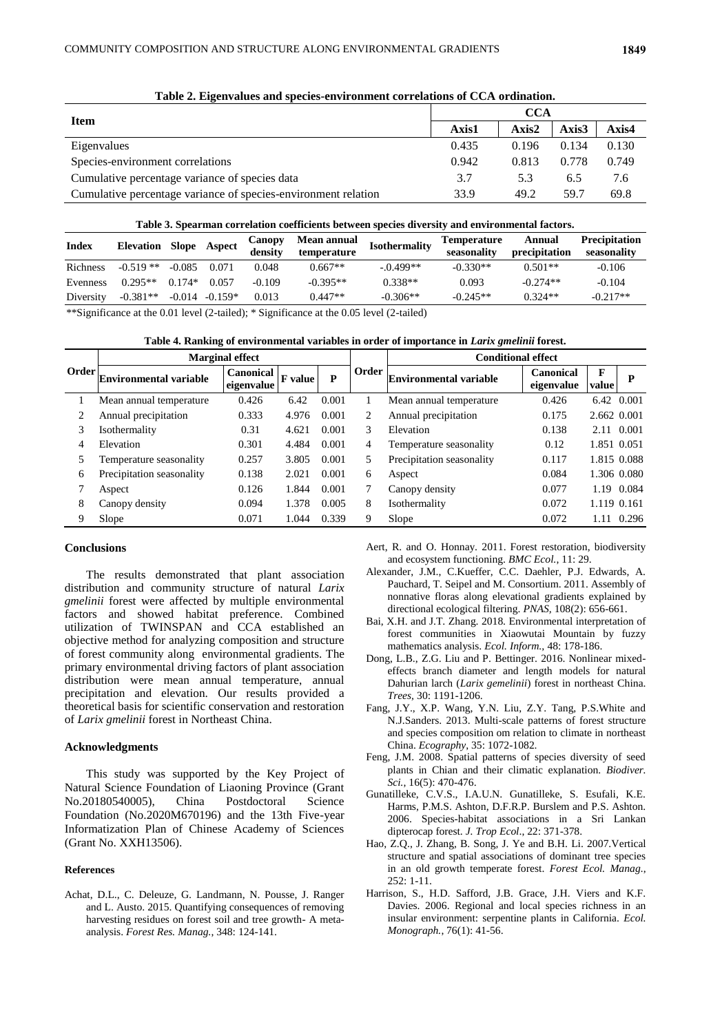| Tubic 2: Eigenvalues and species environment correlations or CC/1 organization. |                                                                                                                            |       |       |       |  |  |  |  |  |  |
|---------------------------------------------------------------------------------|----------------------------------------------------------------------------------------------------------------------------|-------|-------|-------|--|--|--|--|--|--|
|                                                                                 | CCA                                                                                                                        |       |       |       |  |  |  |  |  |  |
| Item                                                                            | Axis1<br>Axis2<br>Axis3<br>0.435<br>0.134<br>0.196<br>0.942<br>0.778<br>0.813<br>3.7<br>5.3<br>6.5<br>33.9<br>49.2<br>59.7 | Axis4 |       |       |  |  |  |  |  |  |
| Eigenvalues                                                                     |                                                                                                                            |       |       | 0.130 |  |  |  |  |  |  |
| Species-environment correlations                                                |                                                                                                                            |       | 0.749 |       |  |  |  |  |  |  |
| Cumulative percentage variance of species data                                  |                                                                                                                            |       |       | 7.6   |  |  |  |  |  |  |
| Cumulative percentage variance of species-environment relation                  |                                                                                                                            |       |       | 69.8  |  |  |  |  |  |  |

**Table 2. Eigenvalues and species-environment correlations of CCA ordination.**

**Table 3. Spearman correlation coefficients between species diversity and environmental factors.**

| Index     | <b>Elevation</b> | Slope    | Aspect    | Canopy<br>density | Mean annual<br>temperature | <b>Isothermality</b> | <b>Temperature</b><br>seasonality | Annual<br>precipitation | <b>Precipitation</b><br>seasonality |
|-----------|------------------|----------|-----------|-------------------|----------------------------|----------------------|-----------------------------------|-------------------------|-------------------------------------|
| Richness  | $-0.519**$       | $-0.085$ | 0.071     | 0.048             | $0.667**$                  | $-.0.499**$          | $-0.330**$                        | $0.501**$               | $-0.106$                            |
| Evenness  | $0.295**$        | $0.174*$ | 0.057     | -0.109            | $-0.395**$                 | $0.338**$            | 0.093                             | $-0.274**$              | $-0.104$                            |
| Diversity | $-0.381**$       | $-0.014$ | $-0.159*$ | 0.013             | $0.447**$                  | $-0.306**$           | $-0.245**$                        | $0.324**$               | $-0.217**$                          |

\*\*Significance at the 0.01 level (2-tailed); \* Significance at the 0.05 level (2-tailed)

**Table 4. Ranking of environmental variables in order of importance in** *Larix gmelinii* **forest.**

|              |                               | <b>Marginal effect</b>         |         |       |       | <b>Conditional effect</b>     |                         |             |       |
|--------------|-------------------------------|--------------------------------|---------|-------|-------|-------------------------------|-------------------------|-------------|-------|
| <b>Order</b> | <b>Environmental variable</b> | <b>Canonical</b><br>eigenvalue | F value | P     | Order | <b>Environmental variable</b> | Canonical<br>eigenvalue | F<br>value  | P     |
|              | Mean annual temperature       | 0.426                          | 6.42    | 0.001 |       | Mean annual temperature       | 0.426                   | 6.42 0.001  |       |
|              | Annual precipitation          | 0.333                          | 4.976   | 0.001 | 2     | Annual precipitation          | 0.175                   | 2.662 0.001 |       |
| 3            | Isothermality                 | 0.31                           | 4.621   | 0.001 | 3     | Elevation                     | 0.138                   | 2.11        | 0.001 |
| 4            | Elevation                     | 0.301                          | 4.484   | 0.001 | 4     | Temperature seasonality       | 0.12                    | 1.851 0.051 |       |
|              | Temperature seasonality       | 0.257                          | 3.805   | 0.001 | 5.    | Precipitation seasonality     | 0.117                   | 1.815 0.088 |       |
| 6            | Precipitation seasonality     | 0.138                          | 2.021   | 0.001 | 6     | Aspect                        | 0.084                   | 1.306 0.080 |       |
|              | Aspect                        | 0.126                          | 1.844   | 0.001 |       | Canopy density                | 0.077                   | 1.19        | 0.084 |
| 8            | Canopy density                | 0.094                          | 1.378   | 0.005 | 8     | Isothermality                 | 0.072                   | 1.119 0.161 |       |
| 9            | Slope                         | 0.071                          | 1.044   | 0.339 | 9     | Slope                         | 0.072                   | 1.11        | 0.296 |

# **Conclusions**

The results demonstrated that plant association distribution and community structure of natural *Larix gmelinii* forest were affected by multiple environmental factors and showed habitat preference. Combined utilization of TWINSPAN and CCA established an objective method for analyzing composition and structure of forest community along environmental gradients. The primary environmental driving factors of plant association distribution were mean annual temperature, annual precipitation and elevation. Our results provided a theoretical basis for scientific conservation and restoration of *Larix gmelinii* forest in Northeast China.

#### **Acknowledgments**

This study was supported by the Key Project of Natural Science Foundation of Liaoning Province (Grant No.20180540005), China Postdoctoral Science Foundation (No.2020M670196) and the 13th Five-year Informatization Plan of Chinese Academy of Sciences (Grant No. XXH13506).

#### **References**

Achat, D.L., C. Deleuze, G. Landmann, N. Pousse, J. Ranger and L. Austo. 2015. Quantifying consequences of removing harvesting residues on forest soil and tree growth- A metaanalysis. *Forest Res. Manag.*, 348: 124-141.

Aert, R. and O. Honnay. 2011. Forest restoration, biodiversity and ecosystem functioning. *BMC Ecol.*, 11: 29.

- Alexander, J.M., C.Kueffer, C.C. Daehler, P.J. Edwards, A. Pauchard, T. Seipel and M. Consortium. 2011. Assembly of nonnative floras along elevational gradients explained by directional ecological filtering. *PNAS,* 108(2): 656-661.
- Bai, X.H. and J.T. Zhang. 2018. Environmental interpretation of forest communities in Xiaowutai Mountain by fuzzy mathematics analysis. *Ecol. Inform.,* 48: 178-186.
- Dong, L.B., Z.G. Liu and P. Bettinger. 2016. Nonlinear mixedeffects branch diameter and length models for natural Dahurian larch (*Larix gemelinii*) forest in northeast China. *Trees,* 30: 1191-1206.
- Fang, J.Y., X.P. Wang, Y.N. Liu, Z.Y. Tang, P.S.White and N.J.Sanders. 2013. Multi-scale patterns of forest structure and species composition om relation to climate in northeast China. *Ecography*, 35: 1072-1082.
- Feng, J.M. 2008. Spatial patterns of species diversity of seed plants in Chian and their climatic explanation. *Biodiver. Sci.*, 16(5): 470-476.
- Gunatilleke, C.V.S., I.A.U.N. Gunatilleke, S. Esufali, K.E. Harms, P.M.S. Ashton, D.F.R.P. Burslem and P.S. Ashton. 2006. Species-habitat associations in a Sri Lankan dipterocap forest. *J. Trop Ecol*., 22: 371-378.
- Hao, Z.Q., J. Zhang, B. Song, J. Ye and B.H. Li. 2007.Vertical structure and spatial associations of dominant tree species in an old growth temperate forest. *Forest Ecol. Manag.*, 252: 1-11.
- Harrison, S., H.D. Safford, J.B. Grace, J.H. Viers and K.F. Davies. 2006. Regional and local species richness in an insular environment: serpentine plants in California. *Ecol. Monograph.*, 76(1): 41-56.